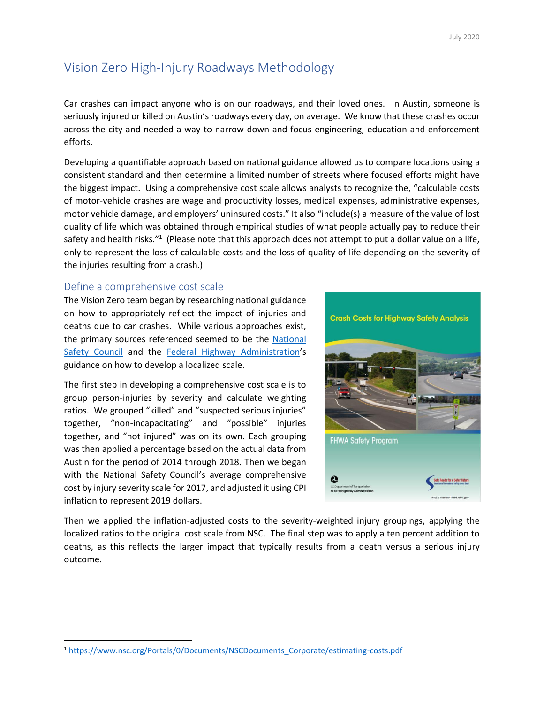# Vision Zero High-Injury Roadways Methodology

Car crashes can impact anyone who is on our roadways, and their loved ones. In Austin, someone is seriously injured or killed on Austin's roadways every day, on average. We know that these crashes occur across the city and needed a way to narrow down and focus engineering, education and enforcement efforts.

Developing a quantifiable approach based on national guidance allowed us to compare locations using a consistent standard and then determine a limited number of streets where focused efforts might have the biggest impact. Using a comprehensive cost scale allows analysts to recognize the, "calculable costs of motor-vehicle crashes are wage and productivity losses, medical expenses, administrative expenses, motor vehicle damage, and employers' uninsured costs." It also "include(s) a measure of the value of lost quality of life which was obtained through empirical studies of what people actually pay to reduce their safety and health risks."<sup>1</sup> (Please note that this approach does not attempt to put a dollar value on a life, only to represent the loss of calculable costs and the loss of quality of life depending on the severity of the injuries resulting from a crash.)

#### Define a comprehensive cost scale

The Vision Zero team began by researching national guidance on how to appropriately reflect the impact of injuries and deaths due to car crashes. While various approaches exist, the primary sources referenced seemed to be the [National](https://www.nsc.org/Portals/0/Documents/NSCDocuments_Corporate/estimating-costs.pdf)  [Safety Council](https://www.nsc.org/Portals/0/Documents/NSCDocuments_Corporate/estimating-costs.pdf) and the [Federal Highway Administration](https://safety.fhwa.dot.gov/hsip/docs/fhwasa17071.pdf)'s guidance on how to develop a localized scale.

The first step in developing a comprehensive cost scale is to group person-injuries by severity and calculate weighting ratios. We grouped "killed" and "suspected serious injuries" together, "non-incapacitating" and "possible" injuries together, and "not injured" was on its own. Each grouping was then applied a percentage based on the actual data from Austin for the period of 2014 through 2018. Then we began with the National Safety Council's average comprehensive cost by injury severity scale for 2017, and adjusted it using CPI inflation to represent 2019 dollars.



Then we applied the inflation-adjusted costs to the severity-weighted injury groupings, applying the localized ratios to the original cost scale from NSC. The final step was to apply a ten percent addition to deaths, as this reflects the larger impact that typically results from a death versus a serious injury outcome.

<sup>1</sup> [https://www.nsc.org/Portals/0/Documents/NSCDocuments\\_Corporate/estimating-costs.pdf](https://www.nsc.org/Portals/0/Documents/NSCDocuments_Corporate/estimating-costs.pdf)